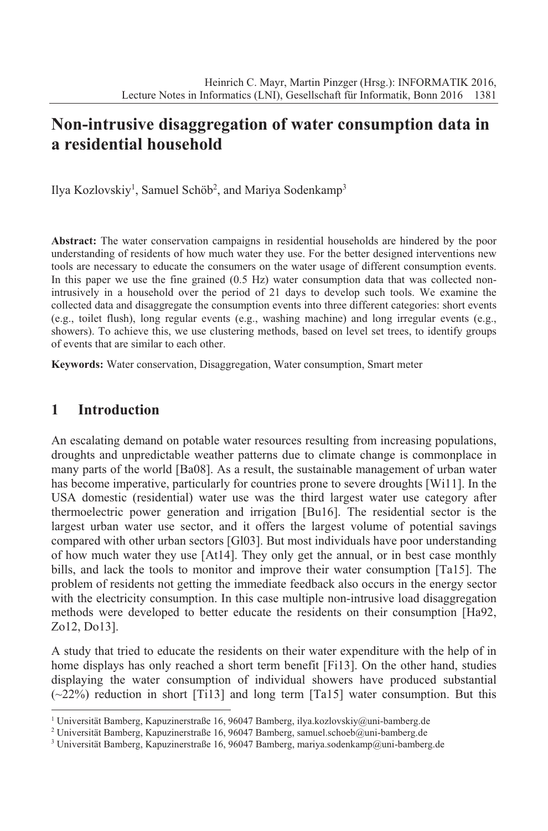# **Non-intrusive disaggregation of water consumption data in a residential household**

Ilya Kozlovskiy<sup>1</sup>, Samuel Schöb<sup>2</sup>, and Mariya Sodenkamp<sup>3</sup>

**Abstract:** The water conservation campaigns in residential households are hindered by the poor understanding of residents of how much water they use. For the better designed interventions new tools are necessary to educate the consumers on the water usage of different consumption events. In this paper we use the fine grained  $(0.5 \text{ Hz})$  water consumption data that was collected nonintrusively in a household over the period of 21 days to develop such tools. We examine the collected data and disaggregate the consumption events into three different categories: short events (e.g., toilet flush), long regular events (e.g., washing machine) and long irregular events (e.g., showers). To achieve this, we use clustering methods, based on level set trees, to identify groups of events that are similar to each other.

**Keywords:** Water conservation, Disaggregation, Water consumption, Smart meter

#### **1 Introduction**

An escalating demand on potable water resources resulting from increasing populations, droughts and unpredictable weather patterns due to climate change is commonplace in many parts of the world [Ba08]. As a result, the sustainable management of urban water has become imperative, particularly for countries prone to severe droughts [Wi11]. In the USA domestic (residential) water use was the third largest water use category after thermoelectric power generation and irrigation [Bu16]. The residential sector is the largest urban water use sector, and it offers the largest volume of potential savings compared with other urban sectors [Gl03]. But most individuals have poor understanding of how much water they use [At14]. They only get the annual, or in best case monthly bills, and lack the tools to monitor and improve their water consumption [Ta15]. The problem of residents not getting the immediate feedback also occurs in the energy sector with the electricity consumption. In this case multiple non-intrusive load disaggregation methods were developed to better educate the residents on their consumption [Ha92, Zo12, Do13].

A study that tried to educate the residents on their water expenditure with the help of in home displays has only reached a short term benefit [Fi13]. On the other hand, studies displaying the water consumption of individual showers have produced substantial  $(\sim 22\%)$  reduction in short [Ti13] and long term [Ta15] water consumption. But this

<sup>1</sup> Universität Bamberg, Kapuzinerstraße 16, 96047 Bamberg, ilya.kozlovskiy@uni-bamberg.de

<sup>&</sup>lt;sup>2</sup> Universität Bamberg, Kapuzinerstraße 16, 96047 Bamberg, samuel.schoeb@uni-bamberg.de

<sup>&</sup>lt;sup>3</sup> Universität Bamberg, Kapuzinerstraße 16, 96047 Bamberg, mariya.sodenkamp@uni-bamberg.de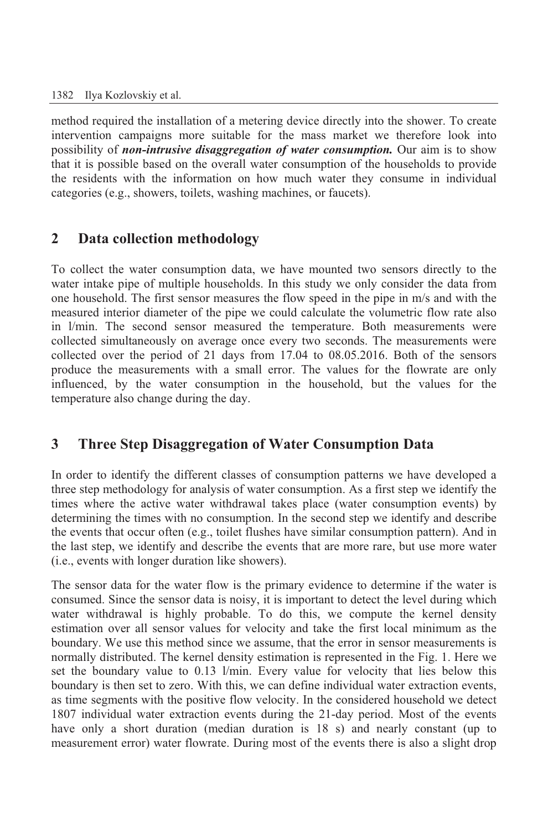method required the installation of a metering device directly into the shower. To create intervention campaigns more suitable for the mass market we therefore look into possibility of *non-intrusive disaggregation of water consumption.* Our aim is to show that it is possible based on the overall water consumption of the households to provide the residents with the information on how much water they consume in individual categories (e.g., showers, toilets, washing machines, or faucets).

## **2 Data collection methodology**

To collect the water consumption data, we have mounted two sensors directly to the water intake pipe of multiple households. In this study we only consider the data from one household. The first sensor measures the flow speed in the pipe in m/s and with the measured interior diameter of the pipe we could calculate the volumetric flow rate also in l/min. The second sensor measured the temperature. Both measurements were collected simultaneously on average once every two seconds. The measurements were collected over the period of 21 days from 17.04 to 08.05.2016. Both of the sensors produce the measurements with a small error. The values for the flowrate are only influenced, by the water consumption in the household, but the values for the temperature also change during the day.

## **3 Three Step Disaggregation of Water Consumption Data**

In order to identify the different classes of consumption patterns we have developed a three step methodology for analysis of water consumption. As a first step we identify the times where the active water withdrawal takes place (water consumption events) by determining the times with no consumption. In the second step we identify and describe the events that occur often (e.g., toilet flushes have similar consumption pattern). And in the last step, we identify and describe the events that are more rare, but use more water (i.e., events with longer duration like showers).

The sensor data for the water flow is the primary evidence to determine if the water is consumed. Since the sensor data is noisy, it is important to detect the level during which water withdrawal is highly probable. To do this, we compute the kernel density estimation over all sensor values for velocity and take the first local minimum as the boundary. We use this method since we assume, that the error in sensor measurements is normally distributed. The kernel density estimation is represented in the Fig. 1. Here we set the boundary value to 0.13 l/min. Every value for velocity that lies below this boundary is then set to zero. With this, we can define individual water extraction events, as time segments with the positive flow velocity. In the considered household we detect 1807 individual water extraction events during the 21-day period. Most of the events have only a short duration (median duration is 18 s) and nearly constant (up to measurement error) water flowrate. During most of the events there is also a slight drop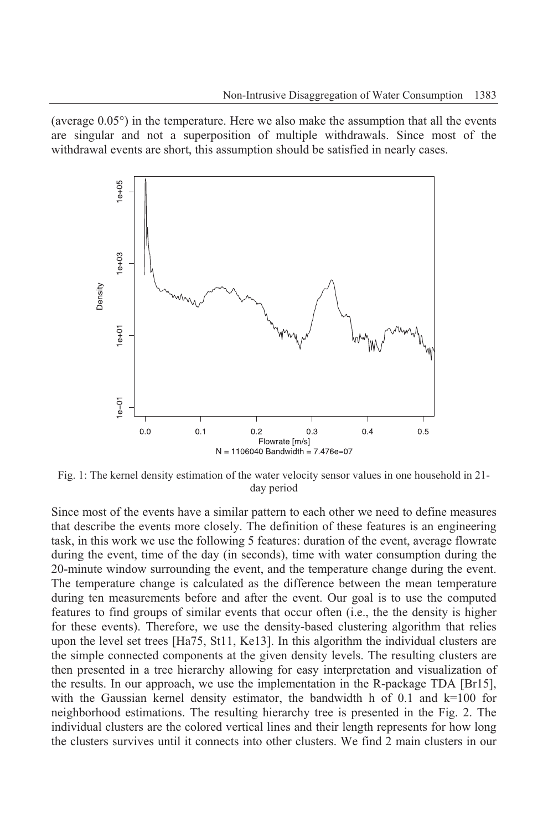(average  $0.05^{\circ}$ ) in the temperature. Here we also make the assumption that all the events are singular and not a superposition of multiple withdrawals. Since most of the withdrawal events are short, this assumption should be satisfied in nearly cases.



Fig. 1: The kernel density estimation of the water velocity sensor values in one household in 21 day period

Since most of the events have a similar pattern to each other we need to define measures that describe the events more closely. The definition of these features is an engineering task, in this work we use the following 5 features: duration of the event, average flowrate during the event, time of the day (in seconds), time with water consumption during the 20-minute window surrounding the event, and the temperature change during the event. The temperature change is calculated as the difference between the mean temperature during ten measurements before and after the event. Our goal is to use the computed features to find groups of similar events that occur often (i.e., the the density is higher for these events). Therefore, we use the density-based clustering algorithm that relies upon the level set trees [Ha75, St11, Ke13]. In this algorithm the individual clusters are the simple connected components at the given density levels. The resulting clusters are then presented in a tree hierarchy allowing for easy interpretation and visualization of the results. In our approach, we use the implementation in the R-package TDA [Br15], with the Gaussian kernel density estimator, the bandwidth h of 0.1 and k=100 for neighborhood estimations. The resulting hierarchy tree is presented in the Fig. 2. The individual clusters are the colored vertical lines and their length represents for how long the clusters survives until it connects into other clusters. We find 2 main clusters in our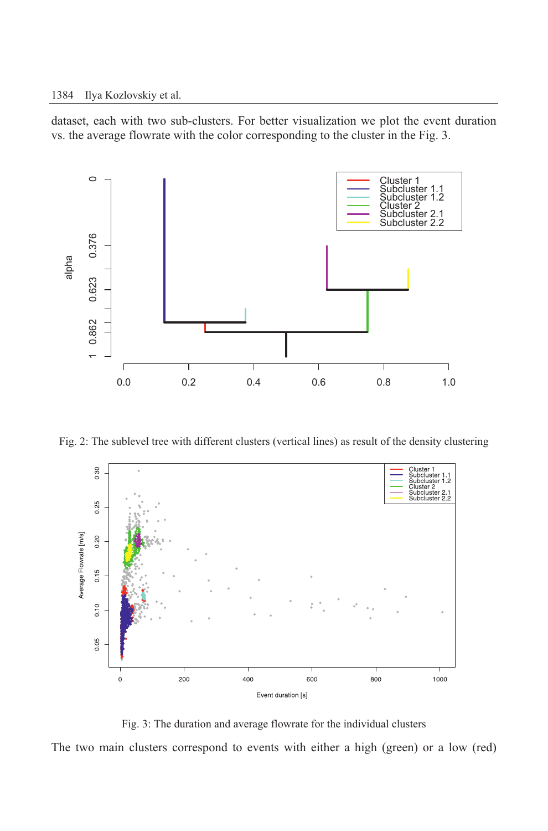dataset, each with two sub-clusters. For better visualization we plot the event duration vs. the average flowrate with the color corresponding to the cluster in the Fig. 3.



Fig. 2: The sublevel tree with different clusters (vertical lines) as result of the density clustering



Fig. 3: The duration and average flowrate for the individual clusters

The two main clusters correspond to events with either a high (green) or a low (red)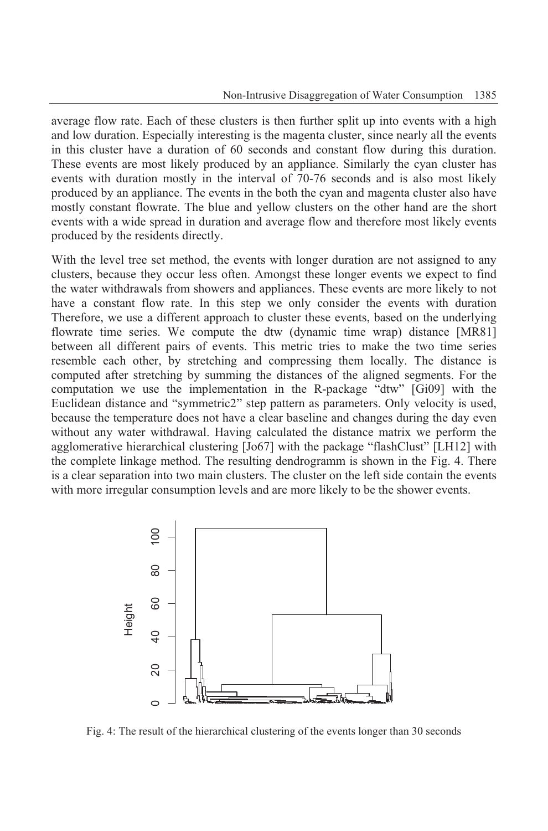average flow rate. Each of these clusters is then further split up into events with a high and low duration. Especially interesting is the magenta cluster, since nearly all the events in this cluster have a duration of 60 seconds and constant flow during this duration. These events are most likely produced by an appliance. Similarly the cyan cluster has events with duration mostly in the interval of 70-76 seconds and is also most likely produced by an appliance. The events in the both the cyan and magenta cluster also have mostly constant flowrate. The blue and yellow clusters on the other hand are the short events with a wide spread in duration and average flow and therefore most likely events produced by the residents directly.

With the level tree set method, the events with longer duration are not assigned to any clusters, because they occur less often. Amongst these longer events we expect to find the water withdrawals from showers and appliances. These events are more likely to not have a constant flow rate. In this step we only consider the events with duration Therefore, we use a different approach to cluster these events, based on the underlying flowrate time series. We compute the dtw (dynamic time wrap) distance [MR81] between all different pairs of events. This metric tries to make the two time series resemble each other, by stretching and compressing them locally. The distance is computed after stretching by summing the distances of the aligned segments. For the computation we use the implementation in the R-package "dtw" [Gi09] with the Euclidean distance and "symmetric2" step pattern as parameters. Only velocity is used, because the temperature does not have a clear baseline and changes during the day even without any water withdrawal. Having calculated the distance matrix we perform the agglomerative hierarchical clustering [Jo67] with the package "flashClust" [LH12] with the complete linkage method. The resulting dendrogramm is shown in the Fig. 4. There is a clear separation into two main clusters. The cluster on the left side contain the events with more irregular consumption levels and are more likely to be the shower events.



Fig. 4: The result of the hierarchical clustering of the events longer than 30 seconds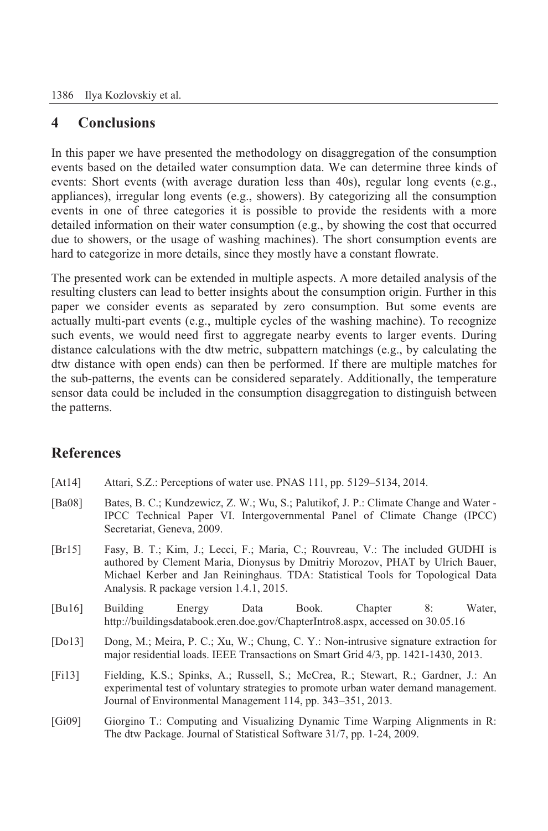## **4 Conclusions**

In this paper we have presented the methodology on disaggregation of the consumption events based on the detailed water consumption data. We can determine three kinds of events: Short events (with average duration less than 40s), regular long events (e.g., appliances), irregular long events (e.g., showers). By categorizing all the consumption events in one of three categories it is possible to provide the residents with a more detailed information on their water consumption (e.g., by showing the cost that occurred due to showers, or the usage of washing machines). The short consumption events are hard to categorize in more details, since they mostly have a constant flowrate.

The presented work can be extended in multiple aspects. A more detailed analysis of the resulting clusters can lead to better insights about the consumption origin. Further in this paper we consider events as separated by zero consumption. But some events are actually multi-part events (e.g., multiple cycles of the washing machine). To recognize such events, we would need first to aggregate nearby events to larger events. During distance calculations with the dtw metric, subpattern matchings (e.g., by calculating the dtw distance with open ends) can then be performed. If there are multiple matches for the sub-patterns, the events can be considered separately. Additionally, the temperature sensor data could be included in the consumption disaggregation to distinguish between the patterns.

## **References**

- [At14] Attari, S.Z.: Perceptions of water use. PNAS 111, pp. 5129–5134, 2014.
- [Ba08] Bates, B. C.; Kundzewicz, Z. W.; Wu, S.; Palutikof, J. P.: Climate Change and Water IPCC Technical Paper VI. Intergovernmental Panel of Climate Change (IPCC) Secretariat, Geneva, 2009.
- [Br15] Fasy, B. T.; Kim, J.; Lecci, F.; Maria, C.; Rouvreau, V.: The included GUDHI is authored by Clement Maria, Dionysus by Dmitriy Morozov, PHAT by Ulrich Bauer, Michael Kerber and Jan Reininghaus. TDA: Statistical Tools for Topological Data Analysis. R package version 1.4.1, 2015.
- [Bu16] Building Energy Data Book. Chapter 8: Water, http://buildingsdatabook.eren.doe.gov/ChapterIntro8.aspx, accessed on 30.05.16
- [Do13] Dong, M.; Meira, P. C.; Xu, W.; Chung, C. Y.: Non-intrusive signature extraction for major residential loads. IEEE Transactions on Smart Grid 4/3, pp. 1421-1430, 2013.
- [Fi13] Fielding, K.S.; Spinks, A.; Russell, S.; McCrea, R.; Stewart, R.; Gardner, J.: An experimental test of voluntary strategies to promote urban water demand management. Journal of Environmental Management 114, pp. 343–351, 2013.
- [Gi09] Giorgino T.: Computing and Visualizing Dynamic Time Warping Alignments in R: The dtw Package. Journal of Statistical Software 31/7, pp. 1-24, 2009.